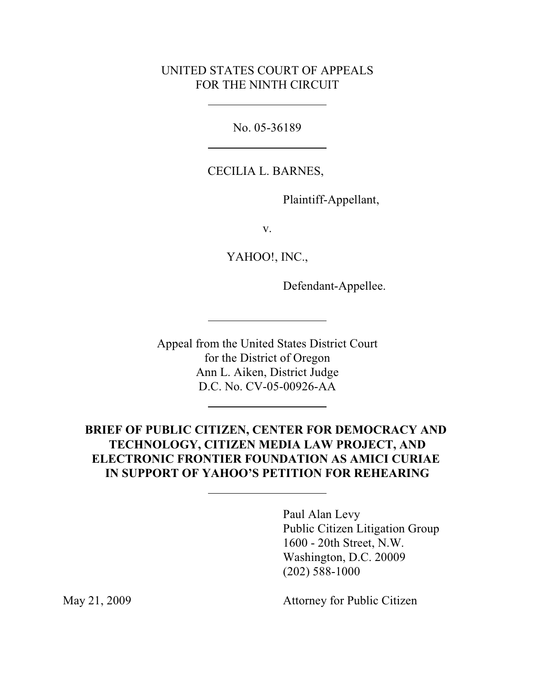### UNITED STATES COURT OF APPEALS FOR THE NINTH CIRCUIT

No. 05-36189

CECILIA L. BARNES,

Plaintiff-Appellant,

v.

YAHOO!, INC.,

Defendant-Appellee.

Appeal from the United States District Court for the District of Oregon Ann L. Aiken, District Judge D.C. No. CV-05-00926-AA

## **BRIEF OF PUBLIC CITIZEN, CENTER FOR DEMOCRACY AND TECHNOLOGY, CITIZEN MEDIA LAW PROJECT, AND ELECTRONIC FRONTIER FOUNDATION AS AMICI CURIAE IN SUPPORT OF YAHOO'S PETITION FOR REHEARING**

Paul Alan Levy Public Citizen Litigation Group 1600 - 20th Street, N.W. Washington, D.C. 20009 (202) 588-1000

May 21, 2009 Attorney for Public Citizen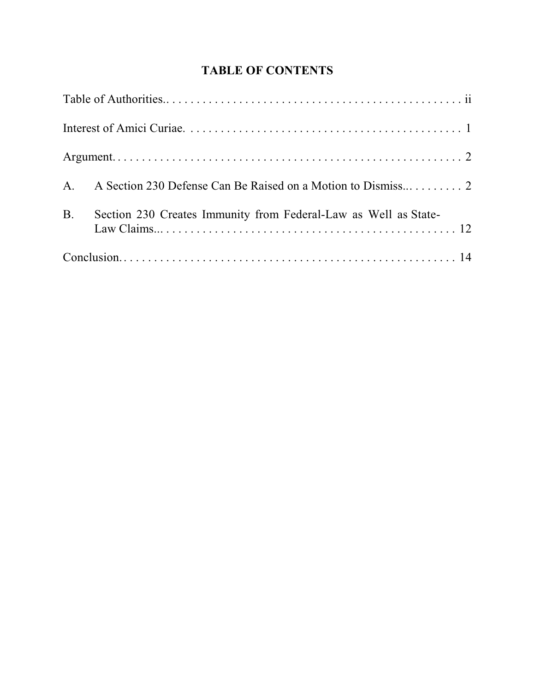# **TABLE OF CONTENTS**

| <b>B.</b><br>Section 230 Creates Immunity from Federal-Law as Well as State- |
|------------------------------------------------------------------------------|
|                                                                              |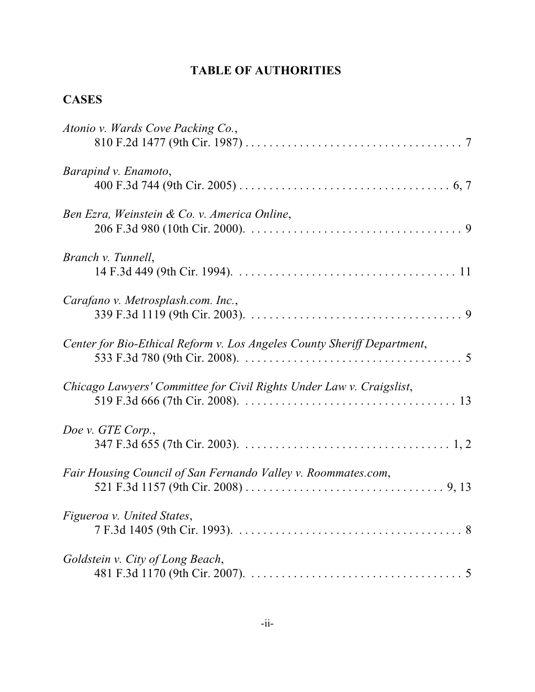# **TABLE OF AUTHORITIES**

## **CASES**

| Atonio v. Wards Cove Packing Co.,                                       |
|-------------------------------------------------------------------------|
| Barapind v. Enamoto,                                                    |
| Ben Ezra, Weinstein & Co. v. America Online,                            |
| Branch v. Tunnell,                                                      |
| Carafano v. Metrosplash.com. Inc.,                                      |
| Center for Bio-Ethical Reform v. Los Angeles County Sheriff Department, |
| Chicago Lawyers' Committee for Civil Rights Under Law v. Craigslist,    |
| Doe v. GTE Corp.,                                                       |
| Fair Housing Council of San Fernando Valley v. Roommates.com,           |
| Figueroa v. United States,                                              |
| Goldstein v. City of Long Beach,                                        |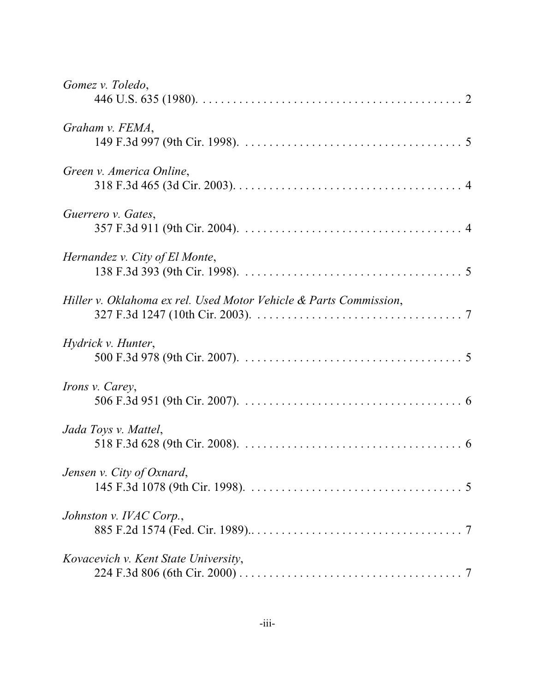| Gomez v. Toledo,                                                  |  |
|-------------------------------------------------------------------|--|
|                                                                   |  |
| Graham v. FEMA,                                                   |  |
|                                                                   |  |
| Green v. America Online,                                          |  |
|                                                                   |  |
| Guerrero v. Gates,                                                |  |
|                                                                   |  |
| Hernandez v. City of El Monte,                                    |  |
|                                                                   |  |
| Hiller v. Oklahoma ex rel. Used Motor Vehicle & Parts Commission, |  |
|                                                                   |  |
| Hydrick v. Hunter,                                                |  |
|                                                                   |  |
| <i>Irons v. Carey,</i>                                            |  |
|                                                                   |  |
| Jada Toys v. Mattel,                                              |  |
|                                                                   |  |
| Jensen v. City of Oxnard,                                         |  |
|                                                                   |  |
| Johnston v. IVAC Corp.,                                           |  |
|                                                                   |  |
| Kovacevich v. Kent State University,                              |  |
|                                                                   |  |
|                                                                   |  |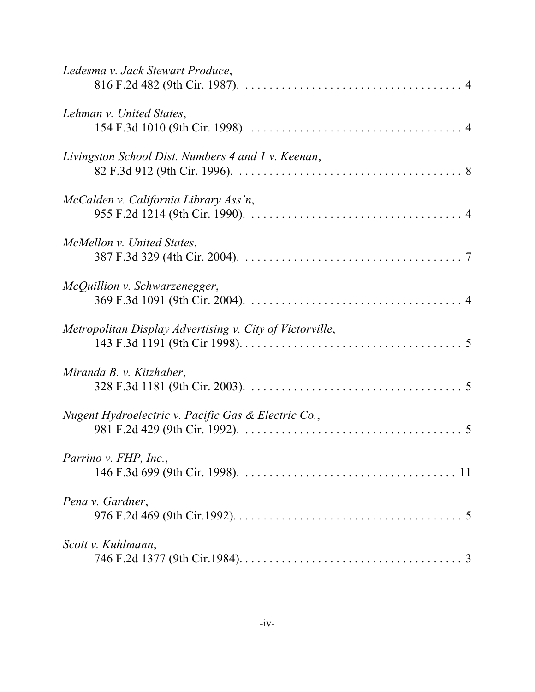| Ledesma v. Jack Stewart Produce,                         |
|----------------------------------------------------------|
| Lehman v. United States,                                 |
| Livingston School Dist. Numbers 4 and 1 v. Keenan,       |
| McCalden v. California Library Ass'n,                    |
| McMellon v. United States,                               |
| McQuillion v. Schwarzenegger,                            |
| Metropolitan Display Advertising v. City of Victorville, |
| Miranda B. v. Kitzhaber,                                 |
| Nugent Hydroelectric v. Pacific Gas & Electric Co.,      |
| Parrino v. FHP, Inc.,                                    |
| Pena v. Gardner,                                         |
| Scott v. Kuhlmann,                                       |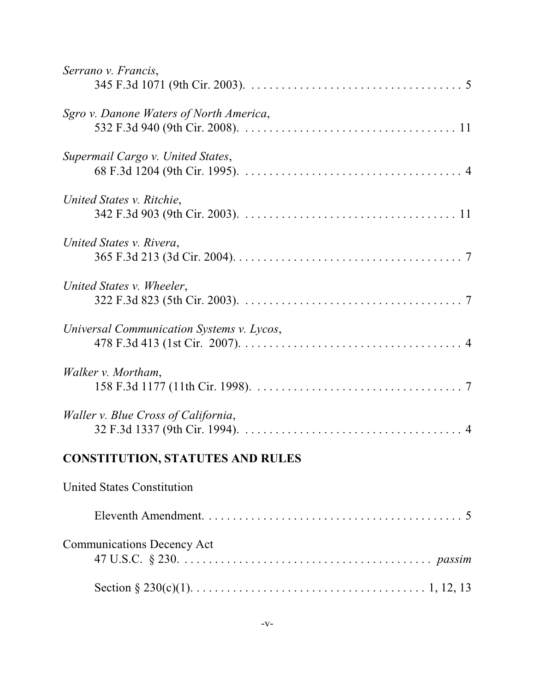| Serrano v. Francis,                       |
|-------------------------------------------|
|                                           |
| Sgro v. Danone Waters of North America,   |
| Supermail Cargo v. United States,         |
| United States v. Ritchie,                 |
| United States v. Rivera,                  |
| United States v. Wheeler,                 |
| Universal Communication Systems v. Lycos, |
| Walker v. Mortham,                        |
| Waller v. Blue Cross of California,       |
| <b>CONSTITUTION, STATUTES AND RULES</b>   |
| <b>United States Constitution</b>         |
|                                           |
| <b>Communications Decency Act</b>         |
|                                           |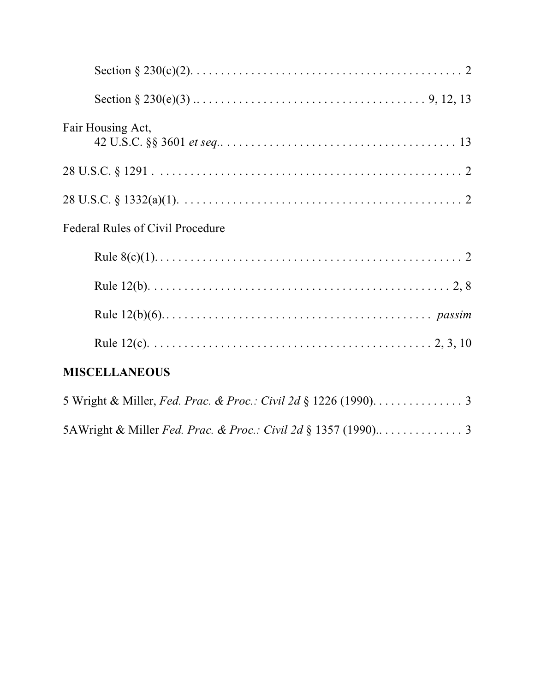| Fair Housing Act,                                                |
|------------------------------------------------------------------|
|                                                                  |
|                                                                  |
| <b>Federal Rules of Civil Procedure</b>                          |
|                                                                  |
|                                                                  |
|                                                                  |
|                                                                  |
| <b>MISCELLANEOUS</b>                                             |
| 5 Wright & Miller, Fed. Prac. & Proc.: Civil 2d § 1226 (1990). 3 |
|                                                                  |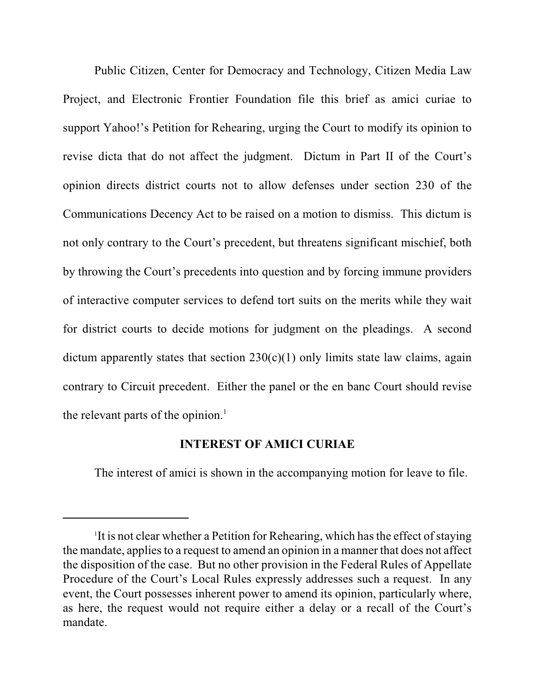Public Citizen, Center for Democracy and Technology, Citizen Media Law Project, and Electronic Frontier Foundation file this brief as amici curiae to support Yahoo!'s Petition for Rehearing, urging the Court to modify its opinion to revise dicta that do not affect the judgment. Dictum in Part II of the Court's opinion directs district courts not to allow defenses under section 230 of the Communications Decency Act to be raised on a motion to dismiss. This dictum is not only contrary to the Court's precedent, but threatens significant mischief, both by throwing the Court's precedents into question and by forcing immune providers of interactive computer services to defend tort suits on the merits while they wait for district courts to decide motions for judgment on the pleadings. A second dictum apparently states that section  $230(c)(1)$  only limits state law claims, again contrary to Circuit precedent. Either the panel or the en banc Court should revise the relevant parts of the opinion. $<sup>1</sup>$ </sup>

#### **INTEREST OF AMICI CURIAE**

The interest of amici is shown in the accompanying motion for leave to file.

<sup>&</sup>lt;sup>1</sup>It is not clear whether a Petition for Rehearing, which has the effect of staying the mandate, applies to a request to amend an opinion in a manner that does not affect the disposition of the case. But no other provision in the Federal Rules of Appellate Procedure of the Court's Local Rules expressly addresses such a request. In any event, the Court possesses inherent power to amend its opinion, particularly where, as here, the request would not require either a delay or a recall of the Court's mandate.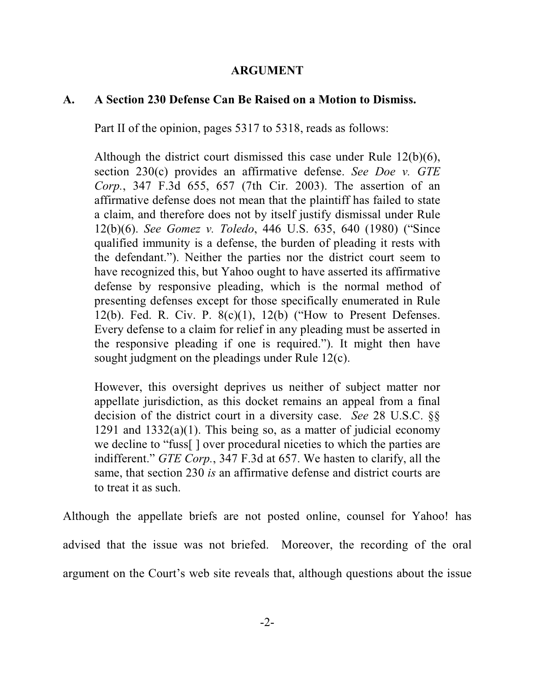### **ARGUMENT**

### **A. A Section 230 Defense Can Be Raised on a Motion to Dismiss.**

Part II of the opinion, pages 5317 to 5318, reads as follows:

Although the district court dismissed this case under Rule 12(b)(6), section 230(c) provides an affirmative defense. *See Doe v. GTE Corp.*, 347 F.3d 655, 657 (7th Cir. 2003). The assertion of an affirmative defense does not mean that the plaintiff has failed to state a claim, and therefore does not by itself justify dismissal under Rule 12(b)(6). *See Gomez v. Toledo*, 446 U.S. 635, 640 (1980) ("Since qualified immunity is a defense, the burden of pleading it rests with the defendant."). Neither the parties nor the district court seem to have recognized this, but Yahoo ought to have asserted its affirmative defense by responsive pleading, which is the normal method of presenting defenses except for those specifically enumerated in Rule 12(b). Fed. R. Civ. P. 8(c)(1), 12(b) ("How to Present Defenses. Every defense to a claim for relief in any pleading must be asserted in the responsive pleading if one is required."). It might then have sought judgment on the pleadings under Rule 12(c).

However, this oversight deprives us neither of subject matter nor appellate jurisdiction, as this docket remains an appeal from a final decision of the district court in a diversity case. *See* 28 U.S.C. §§ 1291 and  $1332(a)(1)$ . This being so, as a matter of judicial economy we decline to "fuss[ ] over procedural niceties to which the parties are indifferent." *GTE Corp.*, 347 F.3d at 657. We hasten to clarify, all the same, that section 230 *is* an affirmative defense and district courts are to treat it as such.

Although the appellate briefs are not posted online, counsel for Yahoo! has advised that the issue was not briefed. Moreover, the recording of the oral argument on the Court's web site reveals that, although questions about the issue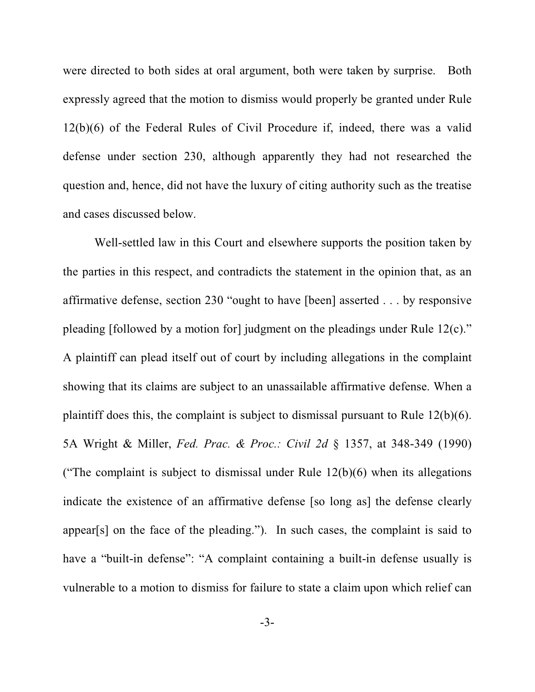were directed to both sides at oral argument, both were taken by surprise. Both expressly agreed that the motion to dismiss would properly be granted under Rule 12(b)(6) of the Federal Rules of Civil Procedure if, indeed, there was a valid defense under section 230, although apparently they had not researched the question and, hence, did not have the luxury of citing authority such as the treatise and cases discussed below.

Well-settled law in this Court and elsewhere supports the position taken by the parties in this respect, and contradicts the statement in the opinion that, as an affirmative defense, section 230 "ought to have [been] asserted . . . by responsive pleading [followed by a motion for] judgment on the pleadings under Rule 12(c)." A plaintiff can plead itself out of court by including allegations in the complaint showing that its claims are subject to an unassailable affirmative defense. When a plaintiff does this, the complaint is subject to dismissal pursuant to Rule 12(b)(6). 5A Wright & Miller, *Fed. Prac. & Proc.: Civil 2d* § 1357, at 348-349 (1990) ("The complaint is subject to dismissal under Rule  $12(b)(6)$  when its allegations indicate the existence of an affirmative defense [so long as] the defense clearly appear[s] on the face of the pleading."). In such cases, the complaint is said to have a "built-in defense": "A complaint containing a built-in defense usually is vulnerable to a motion to dismiss for failure to state a claim upon which relief can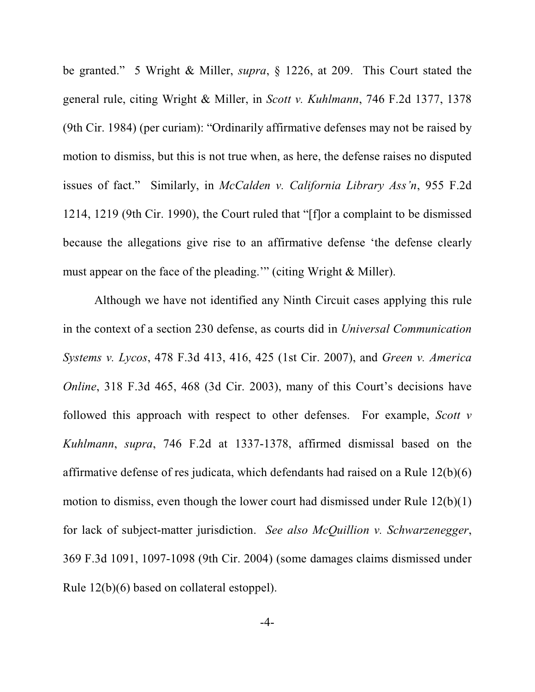be granted." 5 Wright & Miller, *supra*, § 1226, at 209. This Court stated the general rule, citing Wright & Miller, in *Scott v. Kuhlmann*, 746 F.2d 1377, 1378 (9th Cir. 1984) (per curiam): "Ordinarily affirmative defenses may not be raised by motion to dismiss, but this is not true when, as here, the defense raises no disputed issues of fact." Similarly, in *McCalden v. California Library Ass'n*, 955 F.2d 1214, 1219 (9th Cir. 1990), the Court ruled that "[f]or a complaint to be dismissed because the allegations give rise to an affirmative defense 'the defense clearly must appear on the face of the pleading.'" (citing Wright & Miller).

Although we have not identified any Ninth Circuit cases applying this rule in the context of a section 230 defense, as courts did in *Universal Communication Systems v. Lycos*, 478 F.3d 413, 416, 425 (1st Cir. 2007), and *Green v. America Online*, 318 F.3d 465, 468 (3d Cir. 2003), many of this Court's decisions have followed this approach with respect to other defenses. For example, *Scott v Kuhlmann*, *supra*, 746 F.2d at 1337-1378, affirmed dismissal based on the affirmative defense of res judicata, which defendants had raised on a Rule 12(b)(6) motion to dismiss, even though the lower court had dismissed under Rule 12(b)(1) for lack of subject-matter jurisdiction. *See also McQuillion v. Schwarzenegger*, 369 F.3d 1091, 1097-1098 (9th Cir. 2004) (some damages claims dismissed under Rule 12(b)(6) based on collateral estoppel).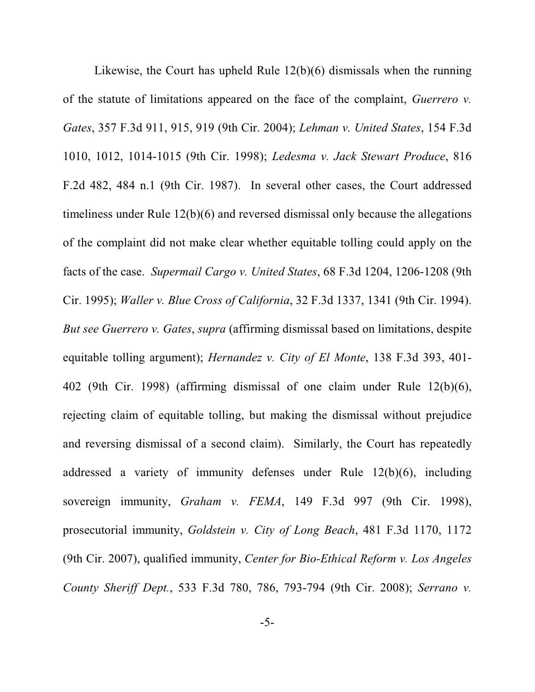Likewise, the Court has upheld Rule 12(b)(6) dismissals when the running of the statute of limitations appeared on the face of the complaint, *Guerrero v. Gates*, 357 F.3d 911, 915, 919 (9th Cir. 2004); *Lehman v. United States*, 154 F.3d 1010, 1012, 1014-1015 (9th Cir. 1998); *Ledesma v. Jack Stewart Produce*, 816 F.2d 482, 484 n.1 (9th Cir. 1987). In several other cases, the Court addressed timeliness under Rule 12(b)(6) and reversed dismissal only because the allegations of the complaint did not make clear whether equitable tolling could apply on the facts of the case. *Supermail Cargo v. United States*, 68 F.3d 1204, 1206-1208 (9th Cir. 1995); *Waller v. Blue Cross of California*, 32 F.3d 1337, 1341 (9th Cir. 1994). *But see Guerrero v. Gates*, *supra* (affirming dismissal based on limitations, despite equitable tolling argument); *Hernandez v. City of El Monte*, 138 F.3d 393, 401- 402 (9th Cir. 1998) (affirming dismissal of one claim under Rule 12(b)(6), rejecting claim of equitable tolling, but making the dismissal without prejudice and reversing dismissal of a second claim). Similarly, the Court has repeatedly addressed a variety of immunity defenses under Rule 12(b)(6), including sovereign immunity, *Graham v. FEMA*, 149 F.3d 997 (9th Cir. 1998), prosecutorial immunity, *Goldstein v. City of Long Beach*, 481 F.3d 1170, 1172 (9th Cir. 2007), qualified immunity, *Center for Bio-Ethical Reform v. Los Angeles County Sheriff Dept.*, 533 F.3d 780, 786, 793-794 (9th Cir. 2008); *Serrano v.*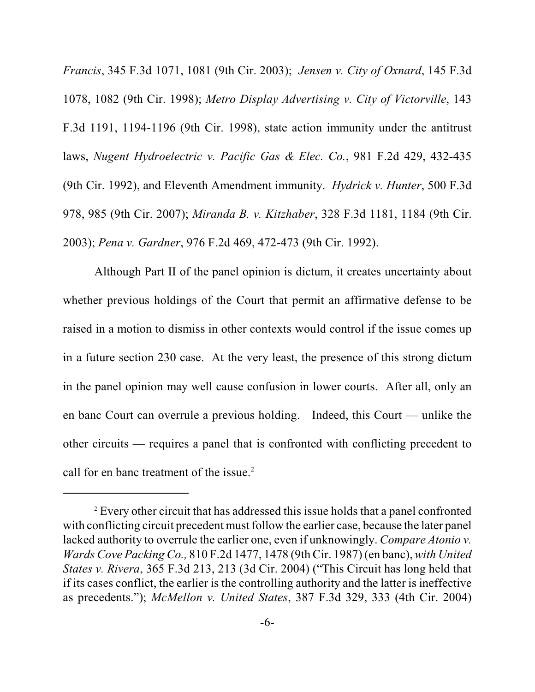*Francis*, 345 F.3d 1071, 1081 (9th Cir. 2003); *Jensen v. City of Oxnard*, 145 F.3d 1078, 1082 (9th Cir. 1998); *Metro Display Advertising v. City of Victorville*, 143 F.3d 1191, 1194-1196 (9th Cir. 1998), state action immunity under the antitrust laws, *Nugent Hydroelectric v. Pacific Gas & Elec. Co.*, 981 F.2d 429, 432-435 (9th Cir. 1992), and Eleventh Amendment immunity. *Hydrick v. Hunter*, 500 F.3d 978, 985 (9th Cir. 2007); *Miranda B. v. Kitzhaber*, 328 F.3d 1181, 1184 (9th Cir. 2003); *Pena v. Gardner*, 976 F.2d 469, 472-473 (9th Cir. 1992).

Although Part II of the panel opinion is dictum, it creates uncertainty about whether previous holdings of the Court that permit an affirmative defense to be raised in a motion to dismiss in other contexts would control if the issue comes up in a future section 230 case. At the very least, the presence of this strong dictum in the panel opinion may well cause confusion in lower courts. After all, only an en banc Court can overrule a previous holding. Indeed, this Court — unlike the other circuits — requires a panel that is confronted with conflicting precedent to call for en banc treatment of the issue.<sup>2</sup>

<sup>&</sup>lt;sup>2</sup> Every other circuit that has addressed this issue holds that a panel confronted with conflicting circuit precedent must follow the earlier case, because the later panel lacked authority to overrule the earlier one, even if unknowingly. *Compare Atonio v. Wards Cove Packing Co.,* 810 F.2d 1477, 1478 (9th Cir. 1987) (en banc), *with United States v. Rivera*, 365 F.3d 213, 213 (3d Cir. 2004) ("This Circuit has long held that if its cases conflict, the earlier is the controlling authority and the latter is ineffective as precedents."); *McMellon v. United States*, 387 F.3d 329, 333 (4th Cir. 2004)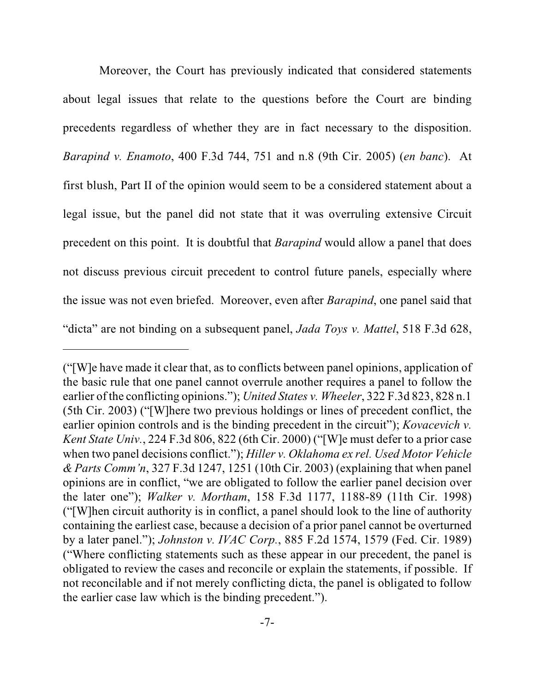Moreover, the Court has previously indicated that considered statements about legal issues that relate to the questions before the Court are binding precedents regardless of whether they are in fact necessary to the disposition. *Barapind v. Enamoto*, 400 F.3d 744, 751 and n.8 (9th Cir. 2005) (*en banc*). At first blush, Part II of the opinion would seem to be a considered statement about a legal issue, but the panel did not state that it was overruling extensive Circuit precedent on this point. It is doubtful that *Barapind* would allow a panel that does not discuss previous circuit precedent to control future panels, especially where the issue was not even briefed. Moreover, even after *Barapind*, one panel said that "dicta" are not binding on a subsequent panel, *Jada Toys v. Mattel*, 518 F.3d 628,

<sup>(&</sup>quot;[W]e have made it clear that, as to conflicts between panel opinions, application of the basic rule that one panel cannot overrule another requires a panel to follow the earlier of the conflicting opinions."); *United States v. Wheeler*, 322 F.3d 823, 828 n.1 (5th Cir. 2003) ("[W]here two previous holdings or lines of precedent conflict, the earlier opinion controls and is the binding precedent in the circuit"); *Kovacevich v. Kent State Univ.*, 224 F.3d 806, 822 (6th Cir. 2000) ("[W]e must defer to a prior case when two panel decisions conflict."); *Hiller v. Oklahoma ex rel. Used Motor Vehicle & Parts Comm'n*, 327 F.3d 1247, 1251 (10th Cir. 2003) (explaining that when panel opinions are in conflict, "we are obligated to follow the earlier panel decision over the later one"); *Walker v. Mortham*, 158 F.3d 1177, 1188-89 (11th Cir. 1998) ("[W]hen circuit authority is in conflict, a panel should look to the line of authority containing the earliest case, because a decision of a prior panel cannot be overturned by a later panel."); *Johnston v. IVAC Corp.*, 885 F.2d 1574, 1579 (Fed. Cir. 1989) ("Where conflicting statements such as these appear in our precedent, the panel is obligated to review the cases and reconcile or explain the statements, if possible. If not reconcilable and if not merely conflicting dicta, the panel is obligated to follow the earlier case law which is the binding precedent.").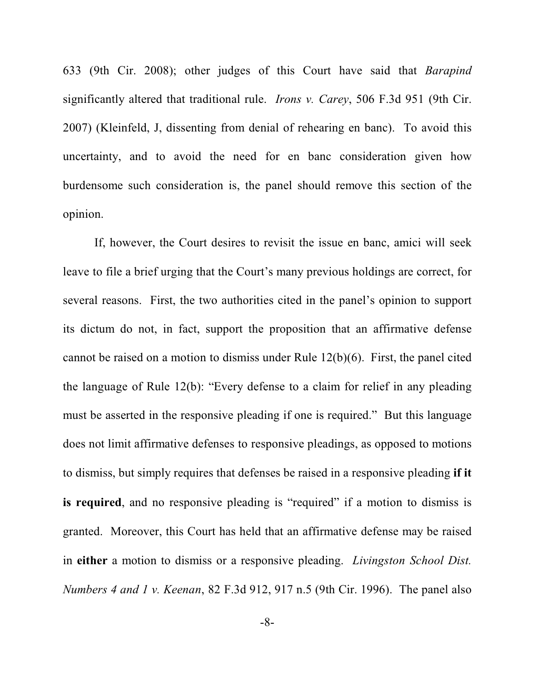633 (9th Cir. 2008); other judges of this Court have said that *Barapind* significantly altered that traditional rule. *Irons v. Carey*, 506 F.3d 951 (9th Cir. 2007) (Kleinfeld, J, dissenting from denial of rehearing en banc). To avoid this uncertainty, and to avoid the need for en banc consideration given how burdensome such consideration is, the panel should remove this section of the opinion.

If, however, the Court desires to revisit the issue en banc, amici will seek leave to file a brief urging that the Court's many previous holdings are correct, for several reasons. First, the two authorities cited in the panel's opinion to support its dictum do not, in fact, support the proposition that an affirmative defense cannot be raised on a motion to dismiss under Rule 12(b)(6). First, the panel cited the language of Rule 12(b): "Every defense to a claim for relief in any pleading must be asserted in the responsive pleading if one is required." But this language does not limit affirmative defenses to responsive pleadings, as opposed to motions to dismiss, but simply requires that defenses be raised in a responsive pleading **if it is required**, and no responsive pleading is "required" if a motion to dismiss is granted. Moreover, this Court has held that an affirmative defense may be raised in **either** a motion to dismiss or a responsive pleading. *Livingston School Dist. Numbers 4 and 1 v. Keenan*, 82 F.3d 912, 917 n.5 (9th Cir. 1996). The panel also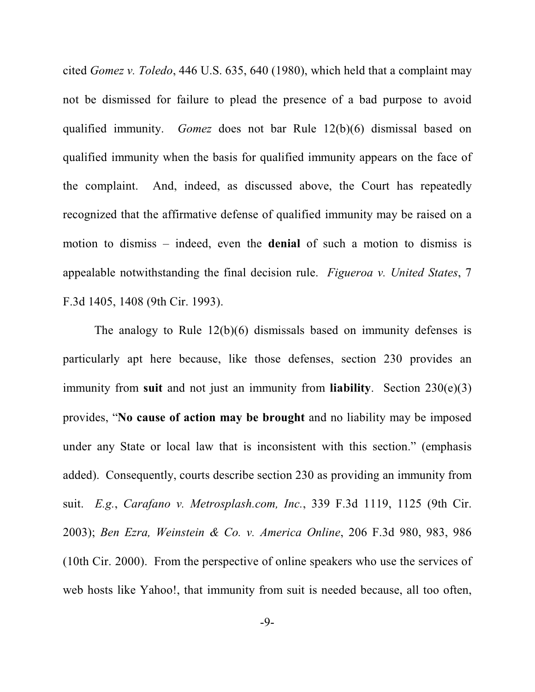cited *Gomez v. Toledo*, 446 U.S. 635, 640 (1980), which held that a complaint may not be dismissed for failure to plead the presence of a bad purpose to avoid qualified immunity. *Gomez* does not bar Rule 12(b)(6) dismissal based on qualified immunity when the basis for qualified immunity appears on the face of the complaint. And, indeed, as discussed above, the Court has repeatedly recognized that the affirmative defense of qualified immunity may be raised on a motion to dismiss – indeed, even the **denial** of such a motion to dismiss is appealable notwithstanding the final decision rule. *Figueroa v. United States*, 7 F.3d 1405, 1408 (9th Cir. 1993).

The analogy to Rule 12(b)(6) dismissals based on immunity defenses is particularly apt here because, like those defenses, section 230 provides an immunity from **suit** and not just an immunity from **liability**. Section 230(e)(3) provides, "**No cause of action may be brought** and no liability may be imposed under any State or local law that is inconsistent with this section." (emphasis added). Consequently, courts describe section 230 as providing an immunity from suit. *E.g.*, *Carafano v. Metrosplash.com, Inc.*, 339 F.3d 1119, 1125 (9th Cir. 2003); *Ben Ezra, Weinstein & Co. v. America Online*, 206 F.3d 980, 983, 986 (10th Cir. 2000). From the perspective of online speakers who use the services of web hosts like Yahoo!, that immunity from suit is needed because, all too often,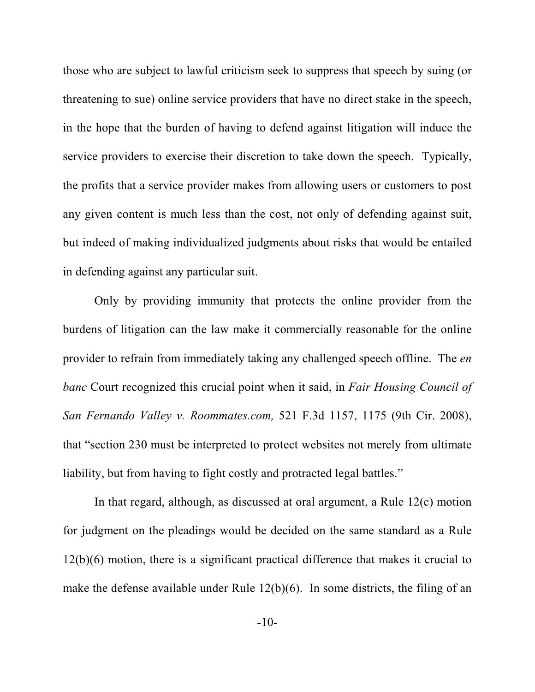those who are subject to lawful criticism seek to suppress that speech by suing (or threatening to sue) online service providers that have no direct stake in the speech, in the hope that the burden of having to defend against litigation will induce the service providers to exercise their discretion to take down the speech. Typically, the profits that a service provider makes from allowing users or customers to post any given content is much less than the cost, not only of defending against suit, but indeed of making individualized judgments about risks that would be entailed in defending against any particular suit.

Only by providing immunity that protects the online provider from the burdens of litigation can the law make it commercially reasonable for the online provider to refrain from immediately taking any challenged speech offline. The *en banc* Court recognized this crucial point when it said, in *Fair Housing Council of San Fernando Valley v. Roommates.com,* 521 F.3d 1157, 1175 (9th Cir. 2008), that "section 230 must be interpreted to protect websites not merely from ultimate liability, but from having to fight costly and protracted legal battles."

In that regard, although, as discussed at oral argument, a Rule 12(c) motion for judgment on the pleadings would be decided on the same standard as a Rule 12(b)(6) motion, there is a significant practical difference that makes it crucial to make the defense available under Rule 12(b)(6). In some districts, the filing of an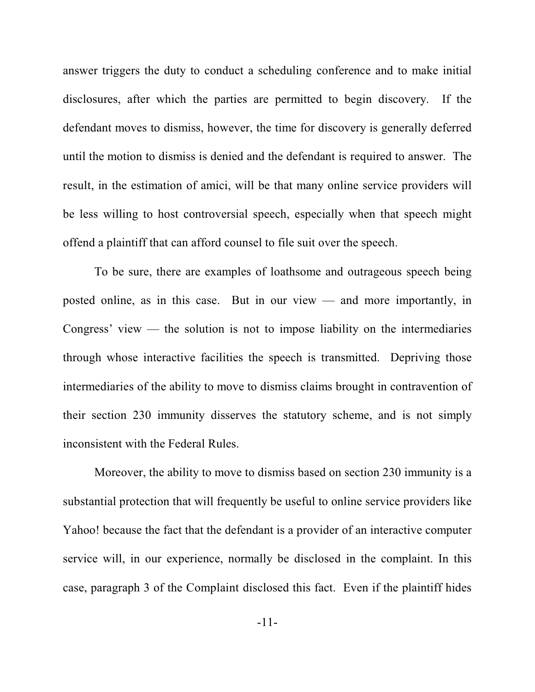answer triggers the duty to conduct a scheduling conference and to make initial disclosures, after which the parties are permitted to begin discovery. If the defendant moves to dismiss, however, the time for discovery is generally deferred until the motion to dismiss is denied and the defendant is required to answer. The result, in the estimation of amici, will be that many online service providers will be less willing to host controversial speech, especially when that speech might offend a plaintiff that can afford counsel to file suit over the speech.

To be sure, there are examples of loathsome and outrageous speech being posted online, as in this case. But in our view — and more importantly, in Congress' view — the solution is not to impose liability on the intermediaries through whose interactive facilities the speech is transmitted. Depriving those intermediaries of the ability to move to dismiss claims brought in contravention of their section 230 immunity disserves the statutory scheme, and is not simply inconsistent with the Federal Rules.

Moreover, the ability to move to dismiss based on section 230 immunity is a substantial protection that will frequently be useful to online service providers like Yahoo! because the fact that the defendant is a provider of an interactive computer service will, in our experience, normally be disclosed in the complaint. In this case, paragraph 3 of the Complaint disclosed this fact. Even if the plaintiff hides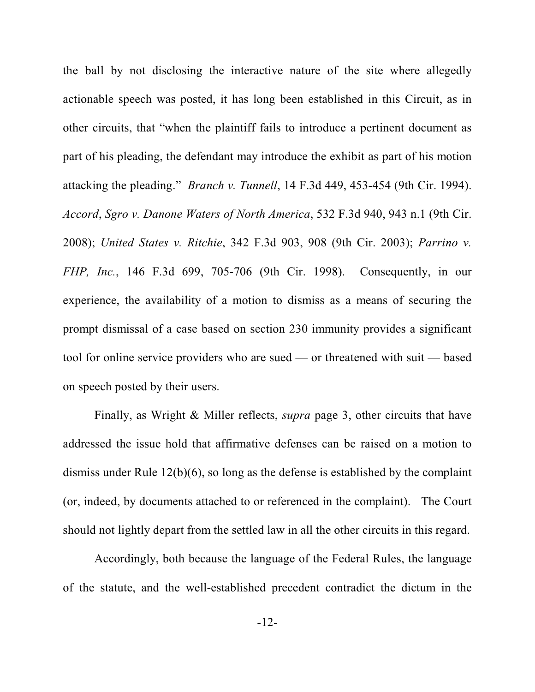the ball by not disclosing the interactive nature of the site where allegedly actionable speech was posted, it has long been established in this Circuit, as in other circuits, that "when the plaintiff fails to introduce a pertinent document as part of his pleading, the defendant may introduce the exhibit as part of his motion attacking the pleading." *Branch v. Tunnell*, 14 F.3d 449, 453-454 (9th Cir. 1994). *Accord*, *Sgro v. Danone Waters of North America*, 532 F.3d 940, 943 n.1 (9th Cir. 2008); *United States v. Ritchie*, 342 F.3d 903, 908 (9th Cir. 2003); *Parrino v. FHP, Inc.*, 146 F.3d 699, 705-706 (9th Cir. 1998). Consequently, in our experience, the availability of a motion to dismiss as a means of securing the prompt dismissal of a case based on section 230 immunity provides a significant tool for online service providers who are sued — or threatened with suit — based on speech posted by their users.

Finally, as Wright & Miller reflects, *supra* page 3, other circuits that have addressed the issue hold that affirmative defenses can be raised on a motion to dismiss under Rule 12(b)(6), so long as the defense is established by the complaint (or, indeed, by documents attached to or referenced in the complaint). The Court should not lightly depart from the settled law in all the other circuits in this regard.

Accordingly, both because the language of the Federal Rules, the language of the statute, and the well-established precedent contradict the dictum in the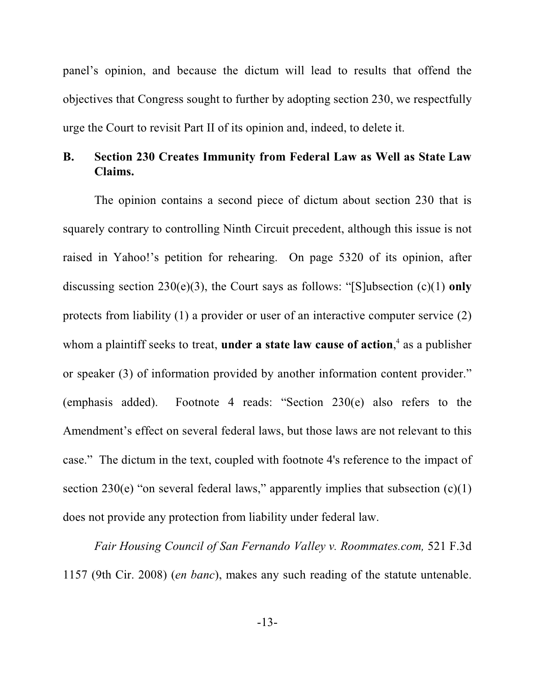panel's opinion, and because the dictum will lead to results that offend the objectives that Congress sought to further by adopting section 230, we respectfully urge the Court to revisit Part II of its opinion and, indeed, to delete it.

## **B. Section 230 Creates Immunity from Federal Law as Well as State Law Claims.**

The opinion contains a second piece of dictum about section 230 that is squarely contrary to controlling Ninth Circuit precedent, although this issue is not raised in Yahoo!'s petition for rehearing. On page 5320 of its opinion, after discussing section 230(e)(3), the Court says as follows: "[S]ubsection (c)(1) **only** protects from liability (1) a provider or user of an interactive computer service (2) whom a plaintiff seeks to treat, **under a state law cause of action**,<sup>4</sup> as a publisher or speaker (3) of information provided by another information content provider." (emphasis added). Footnote 4 reads: "Section 230(e) also refers to the Amendment's effect on several federal laws, but those laws are not relevant to this case." The dictum in the text, coupled with footnote 4's reference to the impact of section 230(e) "on several federal laws," apparently implies that subsection  $(c)(1)$ does not provide any protection from liability under federal law.

*Fair Housing Council of San Fernando Valley v. Roommates.com,* 521 F.3d 1157 (9th Cir. 2008) (*en banc*), makes any such reading of the statute untenable.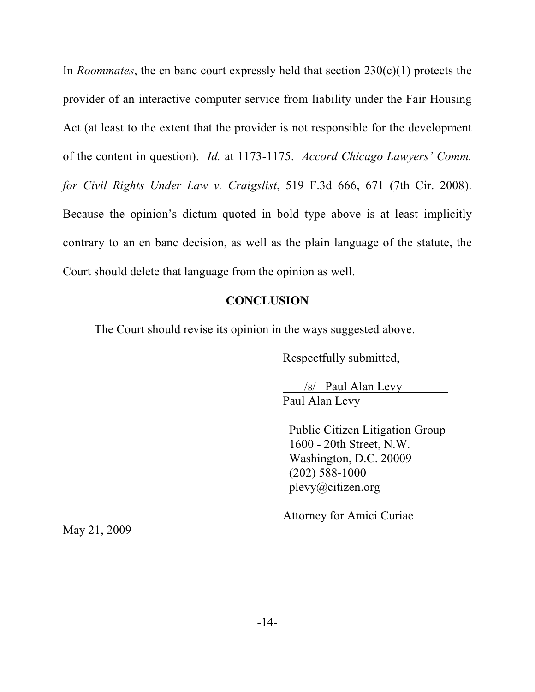In *Roommates*, the en banc court expressly held that section 230(c)(1) protects the provider of an interactive computer service from liability under the Fair Housing Act (at least to the extent that the provider is not responsible for the development of the content in question). *Id.* at 1173-1175. *Accord Chicago Lawyers' Comm. for Civil Rights Under Law v. Craigslist*, 519 F.3d 666, 671 (7th Cir. 2008). Because the opinion's dictum quoted in bold type above is at least implicitly contrary to an en banc decision, as well as the plain language of the statute, the Court should delete that language from the opinion as well.

#### **CONCLUSION**

The Court should revise its opinion in the ways suggested above.

Respectfully submitted,

 /s/ Paul Alan Levy Paul Alan Levy

 Public Citizen Litigation Group 1600 - 20th Street, N.W. Washington, D.C. 20009 (202) 588-1000 plevy@citizen.org

Attorney for Amici Curiae

May 21, 2009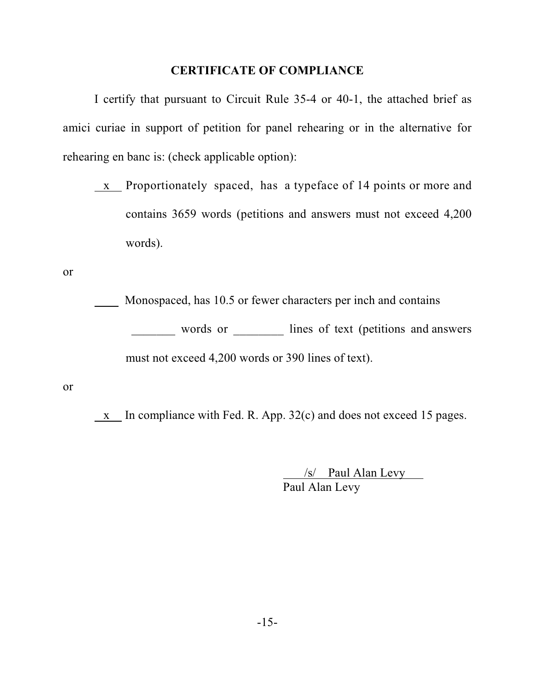### **CERTIFICATE OF COMPLIANCE**

I certify that pursuant to Circuit Rule 35-4 or 40-1, the attached brief as amici curiae in support of petition for panel rehearing or in the alternative for rehearing en banc is: (check applicable option):

x Proportionately spaced, has a typeface of 14 points or more and contains 3659 words (petitions and answers must not exceed 4,200 words).

or

 Monospaced, has 10.5 or fewer characters per inch and contains words or \_\_\_\_\_\_\_\_ lines of text (petitions and answers must not exceed 4,200 words or 390 lines of text).

or

x In compliance with Fed. R. App. 32(c) and does not exceed 15 pages.

 /s/ Paul Alan Levy Paul Alan Levy